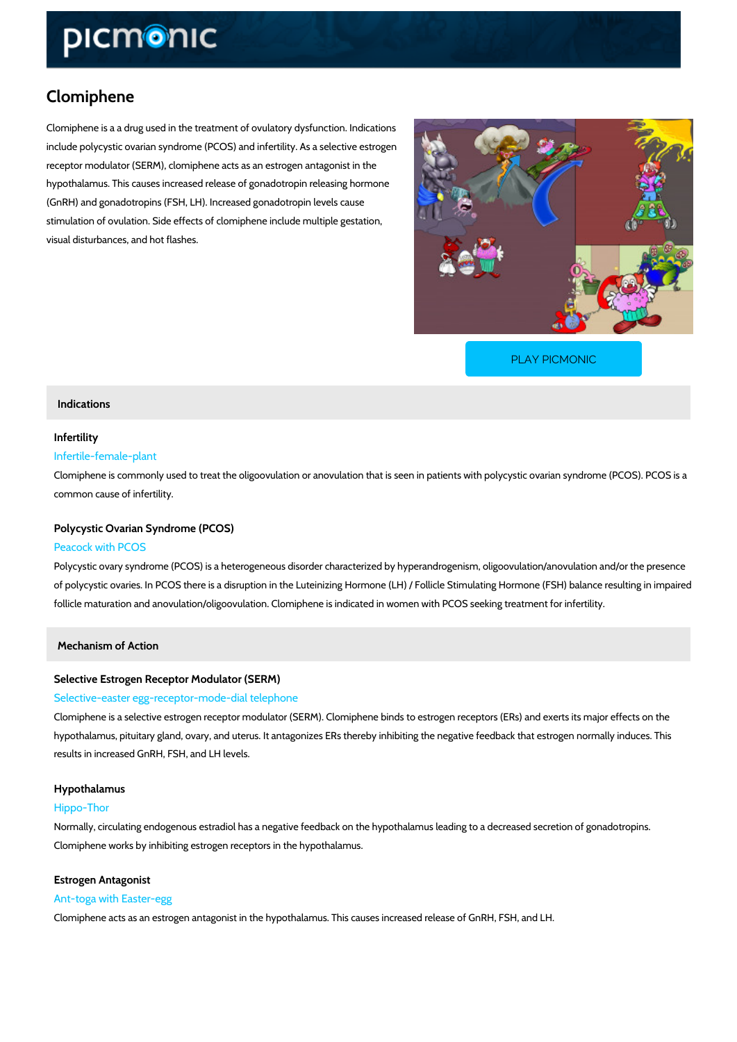# Clomiphene

Clomiphene is a a drug used in the treatment of ovulatory dysfunction. Indications include polycystic ovarian syndrome (PCOS) and infertility. As a selective estrogen receptor modulator (SERM), clomiphene acts as an estrogen antagonist in the hypothalamus. This causes increased release of gonadotropin releasing hormone (GnRH) and gonadotropins (FSH, LH). Increased gonadotropin levels cause stimulation of ovulation. Side effects of clomiphene include multiple gestation, visual disturbances, and hot flashes.

[PLAY PICMONIC](https://www.picmonic.com/learn/clomiphene_50044?utm_source=downloadable_content&utm_medium=distributedcontent&utm_campaign=pathways_pdf&utm_content=Clomiphene&utm_ad_group=leads&utm_market=all)

## Indications

# Infertility

# Infertile-female-plant

Clomiphene is commonly used to treat the oligoovulation or anovulation that is seen in patien common cause of infertility.

# Polycystic Ovarian Syndrome (PCOS)

# Peacock with PCOS

Polycystic ovary syndrome (PCOS) is a heterogeneous disorder characterized by hyperandroge of polycystic ovaries. In PCOS there is a disruption in the Luteinizing Hormone (LH) / Follicle follicle maturation and anovulation/oligoovulation. Clomiphene is indicated in women with PCO

Mechanism of Action

## Selective Estrogen Receptor Modulator (SERM)

### Selective-easter egg-receptor-mode-dial telephone

Clomiphene is a selective estrogen receptor modulator (SERM). Clomiphene binds to estrogen hypothalamus, pituitary gland, ovary, and uterus. It antagonizes ERs thereby inhibiting the ne results in increased GnRH, FSH, and LH levels.

### Hypothalamus

### Hippo-Thor

Normally, circulating endogenous estradiol has a negative feedback on the hypothalamus lead Clomiphene works by inhibiting estrogen receptors in the hypothalamus.

### Estrogen Antagonist

## Ant-toga with Easter-egg

Clomiphene acts as an estrogen antagonist in the hypothalamus. This causes increased releas